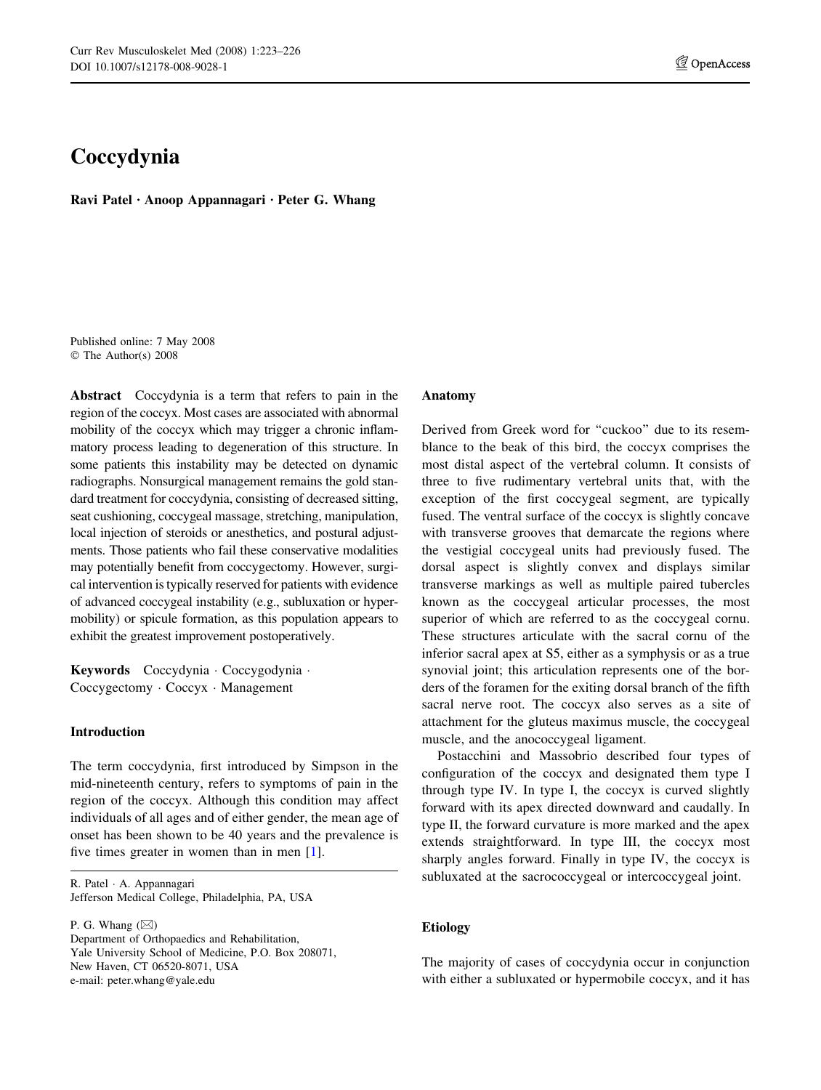# **Coccydynia**

Ravi Patel  $\cdot$  Anoop Appannagari  $\cdot$  Peter G. Whang

Published online: 7 May 2008 The Author(s) 2008

Abstract Coccydynia is a term that refers to pain in the region of the coccyx. Most cases are associated with abnormal mobility of the coccyx which may trigger a chronic inflammatory process leading to degeneration of this structure. In some patients this instability may be detected on dynamic radiographs. Nonsurgical management remains the gold standard treatment for coccydynia, consisting of decreased sitting, seat cushioning, coccygeal massage, stretching, manipulation, local injection of steroids or anesthetics, and postural adjustments. Those patients who fail these conservative modalities may potentially benefit from coccygectomy. However, surgical intervention is typically reserved for patients with evidence of advanced coccygeal instability (e.g., subluxation or hypermobility) or spicule formation, as this population appears to exhibit the greatest improvement postoperatively.

Keywords Coccydynia · Coccygodynia · Coccygectomy  $\cdot$  Coccyx  $\cdot$  Management

# Introduction

The term coccydynia, first introduced by Simpson in the mid-nineteenth century, refers to symptoms of pain in the region of the coccyx. Although this condition may affect individuals of all ages and of either gender, the mean age of onset has been shown to be 40 years and the prevalence is five times greater in women than in men [\[1](#page-3-0)].

P. G. Whang  $(\boxtimes)$ Department of Orthopaedics and Rehabilitation, Yale University School of Medicine, P.O. Box 208071, New Haven, CT 06520-8071, USA e-mail: peter.whang@yale.edu

#### Anatomy

Derived from Greek word for ''cuckoo'' due to its resemblance to the beak of this bird, the coccyx comprises the most distal aspect of the vertebral column. It consists of three to five rudimentary vertebral units that, with the exception of the first coccygeal segment, are typically fused. The ventral surface of the coccyx is slightly concave with transverse grooves that demarcate the regions where the vestigial coccygeal units had previously fused. The dorsal aspect is slightly convex and displays similar transverse markings as well as multiple paired tubercles known as the coccygeal articular processes, the most superior of which are referred to as the coccygeal cornu. These structures articulate with the sacral cornu of the inferior sacral apex at S5, either as a symphysis or as a true synovial joint; this articulation represents one of the borders of the foramen for the exiting dorsal branch of the fifth sacral nerve root. The coccyx also serves as a site of attachment for the gluteus maximus muscle, the coccygeal muscle, and the anococcygeal ligament.

Postacchini and Massobrio described four types of configuration of the coccyx and designated them type I through type IV. In type I, the coccyx is curved slightly forward with its apex directed downward and caudally. In type II, the forward curvature is more marked and the apex extends straightforward. In type III, the coccyx most sharply angles forward. Finally in type IV, the coccyx is subluxated at the sacrococcygeal or intercoccygeal joint.

### Etiology

The majority of cases of coccydynia occur in conjunction with either a subluxated or hypermobile coccyx, and it has

R. Patel · A. Appannagari Jefferson Medical College, Philadelphia, PA, USA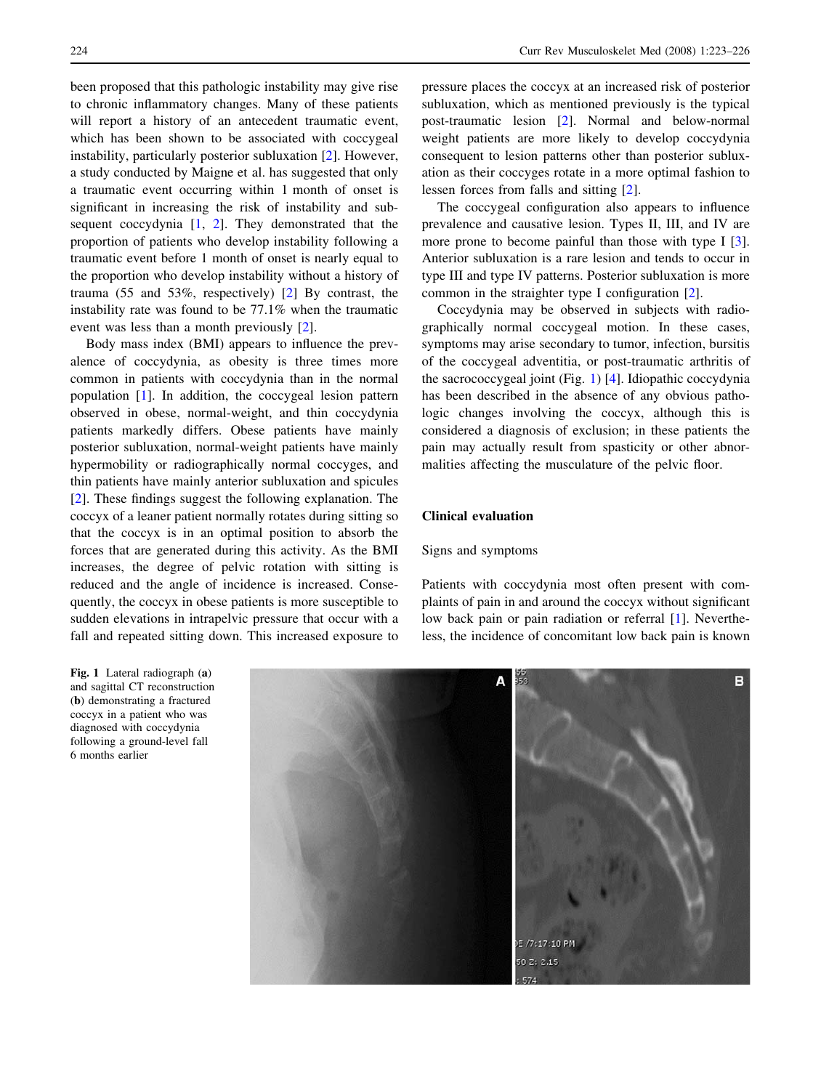been proposed that this pathologic instability may give rise to chronic inflammatory changes. Many of these patients will report a history of an antecedent traumatic event, which has been shown to be associated with coccygeal instability, particularly posterior subluxation [\[2](#page-3-0)]. However, a study conducted by Maigne et al. has suggested that only a traumatic event occurring within 1 month of onset is significant in increasing the risk of instability and subsequent coccydynia [[1](#page-3-0), [2](#page-3-0)]. They demonstrated that the proportion of patients who develop instability following a traumatic event before 1 month of onset is nearly equal to the proportion who develop instability without a history of trauma (55 and 53%, respectively) [[2\]](#page-3-0) By contrast, the instability rate was found to be 77.1% when the traumatic event was less than a month previously [\[2](#page-3-0)].

Body mass index (BMI) appears to influence the prevalence of coccydynia, as obesity is three times more common in patients with coccydynia than in the normal population [[1\]](#page-3-0). In addition, the coccygeal lesion pattern observed in obese, normal-weight, and thin coccydynia patients markedly differs. Obese patients have mainly posterior subluxation, normal-weight patients have mainly hypermobility or radiographically normal coccyges, and thin patients have mainly anterior subluxation and spicules [\[2](#page-3-0)]. These findings suggest the following explanation. The coccyx of a leaner patient normally rotates during sitting so that the coccyx is in an optimal position to absorb the forces that are generated during this activity. As the BMI increases, the degree of pelvic rotation with sitting is reduced and the angle of incidence is increased. Consequently, the coccyx in obese patients is more susceptible to sudden elevations in intrapelvic pressure that occur with a fall and repeated sitting down. This increased exposure to

Fig. 1 Lateral radiograph (a) and sagittal CT reconstruction (b) demonstrating a fractured coccyx in a patient who was diagnosed with coccydynia following a ground-level fall 6 months earlier

pressure places the coccyx at an increased risk of posterior subluxation, which as mentioned previously is the typical post-traumatic lesion [[2\]](#page-3-0). Normal and below-normal weight patients are more likely to develop coccydynia consequent to lesion patterns other than posterior subluxation as their coccyges rotate in a more optimal fashion to lessen forces from falls and sitting [\[2](#page-3-0)].

The coccygeal configuration also appears to influence prevalence and causative lesion. Types II, III, and IV are more prone to become painful than those with type I [\[3](#page-3-0)]. Anterior subluxation is a rare lesion and tends to occur in type III and type IV patterns. Posterior subluxation is more common in the straighter type I configuration [[2\]](#page-3-0).

Coccydynia may be observed in subjects with radiographically normal coccygeal motion. In these cases, symptoms may arise secondary to tumor, infection, bursitis of the coccygeal adventitia, or post-traumatic arthritis of the sacrococcygeal joint (Fig. 1) [\[4](#page-3-0)]. Idiopathic coccydynia has been described in the absence of any obvious pathologic changes involving the coccyx, although this is considered a diagnosis of exclusion; in these patients the pain may actually result from spasticity or other abnormalities affecting the musculature of the pelvic floor.

# Clinical evaluation

#### Signs and symptoms

Patients with coccydynia most often present with complaints of pain in and around the coccyx without significant low back pain or pain radiation or referral [[1\]](#page-3-0). Nevertheless, the incidence of concomitant low back pain is known

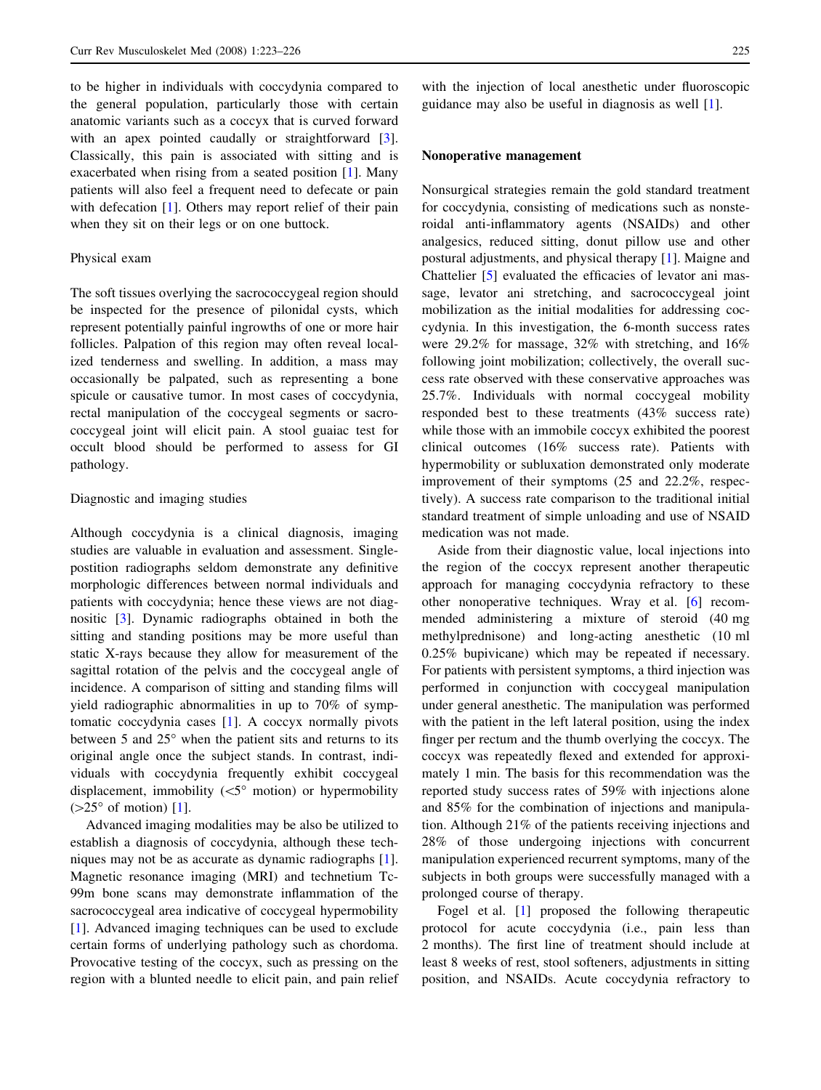to be higher in individuals with coccydynia compared to the general population, particularly those with certain anatomic variants such as a coccyx that is curved forward with an apex pointed caudally or straightforward [\[3](#page-3-0)]. Classically, this pain is associated with sitting and is exacerbated when rising from a seated position [[1\]](#page-3-0). Many patients will also feel a frequent need to defecate or pain with defecation [[1\]](#page-3-0). Others may report relief of their pain when they sit on their legs or on one buttock.

#### Physical exam

The soft tissues overlying the sacrococcygeal region should be inspected for the presence of pilonidal cysts, which represent potentially painful ingrowths of one or more hair follicles. Palpation of this region may often reveal localized tenderness and swelling. In addition, a mass may occasionally be palpated, such as representing a bone spicule or causative tumor. In most cases of coccydynia, rectal manipulation of the coccygeal segments or sacrococcygeal joint will elicit pain. A stool guaiac test for occult blood should be performed to assess for GI pathology.

### Diagnostic and imaging studies

Although coccydynia is a clinical diagnosis, imaging studies are valuable in evaluation and assessment. Singlepostition radiographs seldom demonstrate any definitive morphologic differences between normal individuals and patients with coccydynia; hence these views are not diagnositic [[3\]](#page-3-0). Dynamic radiographs obtained in both the sitting and standing positions may be more useful than static X-rays because they allow for measurement of the sagittal rotation of the pelvis and the coccygeal angle of incidence. A comparison of sitting and standing films will yield radiographic abnormalities in up to 70% of symptomatic coccydynia cases [\[1\]](#page-3-0). A coccyx normally pivots between 5 and  $25^{\circ}$  when the patient sits and returns to its original angle once the subject stands. In contrast, individuals with coccydynia frequently exhibit coccygeal displacement, immobility  $( $5^{\circ}$  motion) or hyper mobility$  $($ >25 $^{\circ}$  of motion) [\[1](#page-3-0)].

Advanced imaging modalities may be also be utilized to establish a diagnosis of coccydynia, although these techniques may not be as accurate as dynamic radiographs [\[1](#page-3-0)]. Magnetic resonance imaging (MRI) and technetium Tc-99m bone scans may demonstrate inflammation of the sacrococcygeal area indicative of coccygeal hypermobility [\[1](#page-3-0)]. Advanced imaging techniques can be used to exclude certain forms of underlying pathology such as chordoma. Provocative testing of the coccyx, such as pressing on the region with a blunted needle to elicit pain, and pain relief with the injection of local anesthetic under fluoroscopic guidance may also be useful in diagnosis as well [[1\]](#page-3-0).

# Nonoperative management

Nonsurgical strategies remain the gold standard treatment for coccydynia, consisting of medications such as nonsteroidal anti-inflammatory agents (NSAIDs) and other analgesics, reduced sitting, donut pillow use and other postural adjustments, and physical therapy [\[1](#page-3-0)]. Maigne and Chattelier [[5\]](#page-3-0) evaluated the efficacies of levator ani massage, levator ani stretching, and sacrococcygeal joint mobilization as the initial modalities for addressing coccydynia. In this investigation, the 6-month success rates were 29.2% for massage, 32% with stretching, and 16% following joint mobilization; collectively, the overall success rate observed with these conservative approaches was 25.7%. Individuals with normal coccygeal mobility responded best to these treatments (43% success rate) while those with an immobile coccyx exhibited the poorest clinical outcomes (16% success rate). Patients with hypermobility or subluxation demonstrated only moderate improvement of their symptoms (25 and 22.2%, respectively). A success rate comparison to the traditional initial standard treatment of simple unloading and use of NSAID medication was not made.

Aside from their diagnostic value, local injections into the region of the coccyx represent another therapeutic approach for managing coccydynia refractory to these other nonoperative techniques. Wray et al. [\[6](#page-3-0)] recommended administering a mixture of steroid (40 mg methylprednisone) and long-acting anesthetic (10 ml 0.25% bupivicane) which may be repeated if necessary. For patients with persistent symptoms, a third injection was performed in conjunction with coccygeal manipulation under general anesthetic. The manipulation was performed with the patient in the left lateral position, using the index finger per rectum and the thumb overlying the coccyx. The coccyx was repeatedly flexed and extended for approximately 1 min. The basis for this recommendation was the reported study success rates of 59% with injections alone and 85% for the combination of injections and manipulation. Although 21% of the patients receiving injections and 28% of those undergoing injections with concurrent manipulation experienced recurrent symptoms, many of the subjects in both groups were successfully managed with a prolonged course of therapy.

Fogel et al. [\[1](#page-3-0)] proposed the following therapeutic protocol for acute coccydynia (i.e., pain less than 2 months). The first line of treatment should include at least 8 weeks of rest, stool softeners, adjustments in sitting position, and NSAIDs. Acute coccydynia refractory to